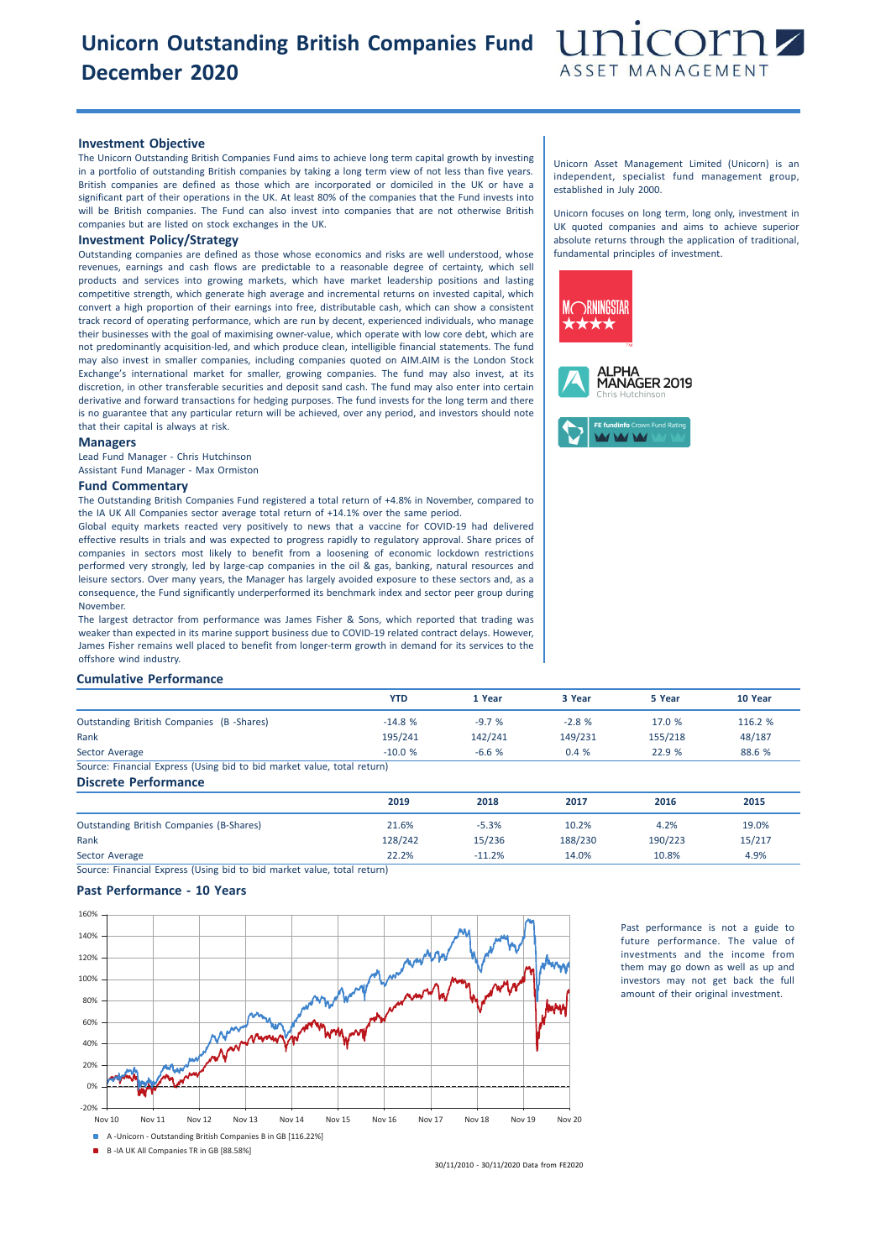# **Unicorn Outstanding British Companies Fund December 2020**



### **Investment Objective**

The Unicorn Outstanding British Companies Fund aims to achieve long term capital growth by investing in a portfolio of outstanding British companies by taking a long term view of not less than five years. British companies are defined as those which are incorporated or domiciled in the UK or have a significant part of their operations in the UK. At least 80% of the companies that the Fund invests into will be British companies. The Fund can also invest into companies that are not otherwise British companies but are listed on stock exchanges in the UK.

## **Investment Policy/Strategy**

Outstanding companies are defined as those whose economics and risks are well understood, whose revenues, earnings and cash flows are predictable to a reasonable degree of certainty, which sell products and services into growing markets, which have market leadership positions and lasting competitive strength, which generate high average and incremental returns on invested capital, which convert a high proportion of their earnings into free, distributable cash, which can show a consistent track record of operating performance, which are run by decent, experienced individuals, who manage their businesses with the goal of maximising owner-value, which operate with low core debt, which are not predominantly acquisition-led, and which produce clean, intelligible financial statements. The fund may also invest in smaller companies, including companies quoted on AIM.AIM is the London Stock Exchange's international market for smaller, growing companies. The fund may also invest, at its discretion, in other transferable securities and deposit sand cash. The fund may also enter into certain derivative and forward transactions for hedging purposes. The fund invests for the long term and there is no guarantee that any particular return will be achieved, over any period, and investors should note that their capital is always at risk.

#### **Managers**

Lead Fund Manager - Chris Hutchinson Assistant Fund Manager - Max Ormiston

#### **Fund Commentary**

The Outstanding British Companies Fund registered a total return of +4.8% in November, compared to the IA UK All Companies sector average total return of +14.1% over the same period.

Global equity markets reacted very positively to news that a vaccine for COVID-19 had delivered effective results in trials and was expected to progress rapidly to regulatory approval. Share prices of companies in sectors most likely to benefit from a loosening of economic lockdown restrictions performed very strongly, led by large-cap companies in the oil & gas, banking, natural resources and leisure sectors. Over many years, the Manager has largely avoided exposure to these sectors and, as a consequence, the Fund significantly underperformed its benchmark index and sector peer group during November.

The largest detractor from performance was James Fisher & Sons, which reported that trading was weaker than expected in its marine support business due to COVID-19 related contract delays. However, James Fisher remains well placed to benefit from longer-term growth in demand for its services to the offshore wind industry.

### **Cumulative Performance**

|                                                                         | <b>YTD</b> | 1 Year  | 3 Year  | 5 Year  | 10 Year |
|-------------------------------------------------------------------------|------------|---------|---------|---------|---------|
| Outstanding British Companies (B-Shares)                                | $-14.8%$   | $-9.7%$ | $-2.8%$ | 17.0 %  | 116.2 % |
| Rank                                                                    | 195/241    | 142/241 | 149/231 | 155/218 | 48/187  |
| Sector Average                                                          | $-10.0%$   | $-6.6%$ | 0.4%    | 22.9 %  | 88.6 %  |
| Source: Financial Express (Using bid to bid market value, total return) |            |         |         |         |         |

**Discrete Performance**

|                                                 | 2019    | 2018     | 2017    | 2016    | 2015   |
|-------------------------------------------------|---------|----------|---------|---------|--------|
| <b>Outstanding British Companies (B-Shares)</b> | 21.6%   | $-5.3%$  | 10.2%   | 4.2%    | 19.0%  |
| Rank                                            | 128/242 | 15/236   | 188/230 | 190/223 | 15/217 |
| Sector Average                                  | 22.2%   | $-11.2%$ | 14.0%   | 10.8%   | 4.9%   |

Source: Financial Express (Using bid to bid market value, total return)

## **Past Performance - 10 Years**



Past performance is not a guide to future performance. The value of investments and the income from them may go down as well as up and investors may not get back the full amount of their original investment.

B -IA UK All Companies TR in GB [88.58%]

30/11/2010 - 30/11/2020 Data from FE2020

Unicorn Asset Management Limited (Unicorn) is an independent, specialist fund management group, established in July 2000.

Unicorn focuses on long term, long only, investment in UK quoted companies and aims to achieve superior absolute returns through the application of traditional, fundamental principles of investment.